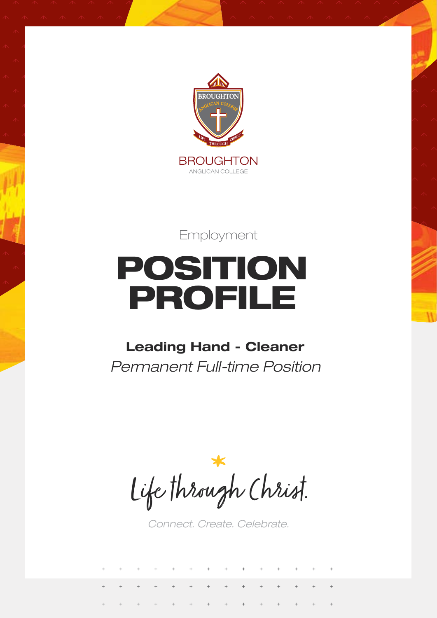

Employment

# POSITION PROFILE

### **Leading Hand - Cleaner** *Permanent Full-time Position*

Life through Christ.

*Connect. Create. Celebrate.*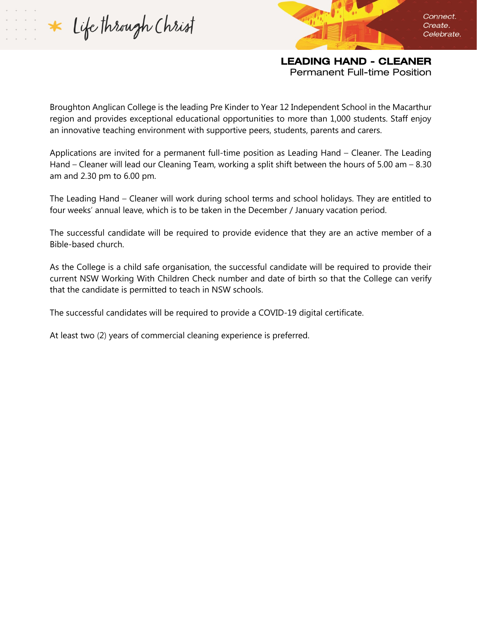Life through Christ

LEADING HAND - CLEANER Permanent Full-time Position

Connect.

Create. Celebrate.

Broughton Anglican College is the leading Pre Kinder to Year 12 Independent School in the Macarthur region and provides exceptional educational opportunities to more than 1,000 students. Staff enjoy an innovative teaching environment with supportive peers, students, parents and carers.

Applications are invited for a permanent full-time position as Leading Hand – Cleaner. The Leading Hand – Cleaner will lead our Cleaning Team, working a split shift between the hours of 5.00 am – 8.30 am and 2.30 pm to 6.00 pm.

The Leading Hand – Cleaner will work during school terms and school holidays. They are entitled to four weeks' annual leave, which is to be taken in the December / January vacation period.

The successful candidate will be required to provide evidence that they are an active member of a Bible-based church.

As the College is a child safe organisation, the successful candidate will be required to provide their current NSW Working With Children Check number and date of birth so that the College can verify that the candidate is permitted to teach in NSW schools.

The successful candidates will be required to provide a COVID-19 digital certificate.

At least two (2) years of commercial cleaning experience is preferred.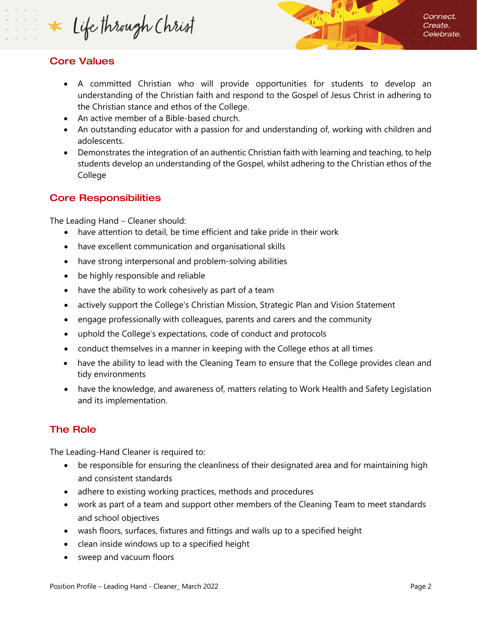Life through Christ

#### Core Values

- A committed Christian who will provide opportunities for students to develop an understanding of the Christian faith and respond to the Gospel of Jesus Christ in adhering to the Christian stance and ethos of the College.
- An active member of a Bible-based church.
- An outstanding educator with a passion for and understanding of, working with children and adolescents.
- Demonstrates the integration of an authentic Christian faith with learning and teaching, to help students develop an understanding of the Gospel, whilst adhering to the Christian ethos of the College

#### Core Responsibilities

The Leading Hand – Cleaner should:

- have attention to detail, be time efficient and take pride in their work
- have excellent communication and organisational skills
- have strong interpersonal and problem-solving abilities
- be highly responsible and reliable
- have the ability to work cohesively as part of a team
- actively support the College's Christian Mission, Strategic Plan and Vision Statement
- engage professionally with colleagues, parents and carers and the community
- uphold the College's expectations, code of conduct and protocols
- conduct themselves in a manner in keeping with the College ethos at all times
- have the ability to lead with the Cleaning Team to ensure that the College provides clean and tidy environments
- have the knowledge, and awareness of, matters relating to Work Health and Safety Legislation and its implementation.

#### The Role

The Leading-Hand Cleaner is required to:

- be responsible for ensuring the cleanliness of their designated area and for maintaining high and consistent standards
- adhere to existing working practices, methods and procedures
- work as part of a team and support other members of the Cleaning Team to meet standards and school objectives
- wash floors, surfaces, fixtures and fittings and walls up to a specified height
- clean inside windows up to a specified height
- sweep and vacuum floors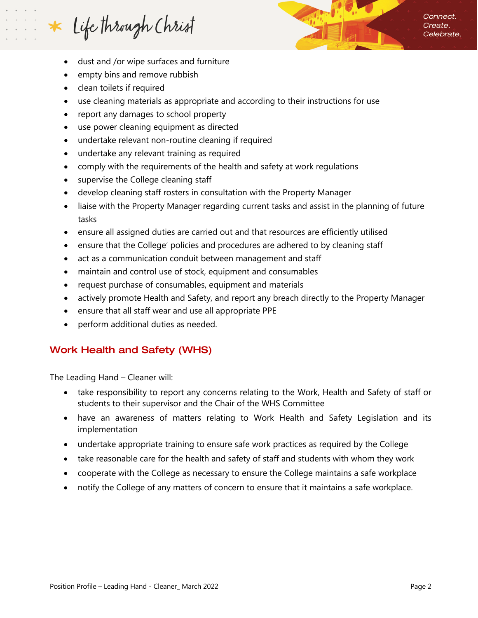## Life through Christ

Connect. Create. Celebrate.

- dust and /or wipe surfaces and furniture
- empty bins and remove rubbish
- clean toilets if required
- use cleaning materials as appropriate and according to their instructions for use
- report any damages to school property
- use power cleaning equipment as directed
- undertake relevant non-routine cleaning if required
- undertake any relevant training as required
- comply with the requirements of the health and safety at work regulations
- supervise the College cleaning staff
- develop cleaning staff rosters in consultation with the Property Manager
- liaise with the Property Manager regarding current tasks and assist in the planning of future tasks
- ensure all assigned duties are carried out and that resources are efficiently utilised
- ensure that the College' policies and procedures are adhered to by cleaning staff
- act as a communication conduit between management and staff
- maintain and control use of stock, equipment and consumables
- request purchase of consumables, equipment and materials
- actively promote Health and Safety, and report any breach directly to the Property Manager
- ensure that all staff wear and use all appropriate PPE
- perform additional duties as needed.

#### Work Health and Safety (WHS)

The Leading Hand – Cleaner will:

- take responsibility to report any concerns relating to the Work, Health and Safety of staff or students to their supervisor and the Chair of the WHS Committee
- have an awareness of matters relating to Work Health and Safety Legislation and its implementation
- undertake appropriate training to ensure safe work practices as required by the College
- take reasonable care for the health and safety of staff and students with whom they work
- cooperate with the College as necessary to ensure the College maintains a safe workplace
- notify the College of any matters of concern to ensure that it maintains a safe workplace.